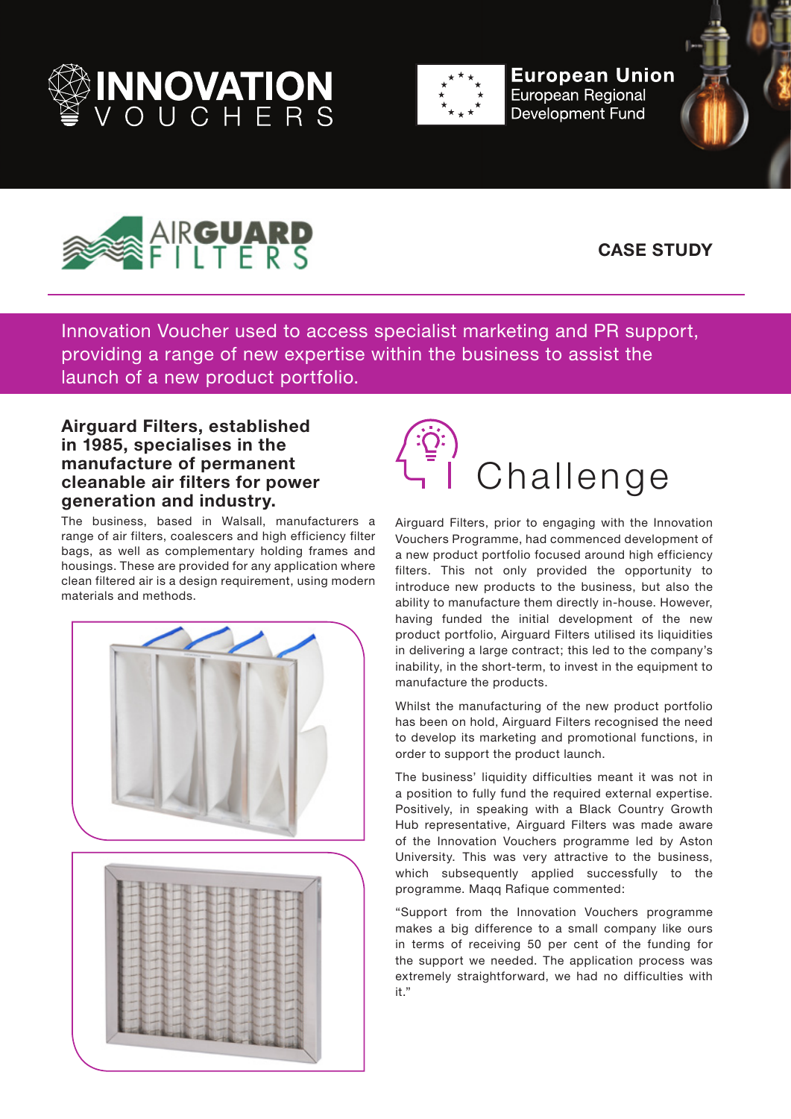



**European Union European Regional Development Fund** 





## **CASE STUDY**

Innovation Voucher used to access specialist marketing and PR support, providing a range of new expertise within the business to assist the launch of a new product portfolio.

## **Airguard Filters, established in 1985, specialises in the manufacture of permanent cleanable air filters for power generation and industry.**

The business, based in Walsall, manufacturers a range of air filters, coalescers and high efficiency filter bags, as well as complementary holding frames and housings. These are provided for any application where clean filtered air is a design requirement, using modern materials and methods.





Airguard Filters, prior to engaging with the Innovation Vouchers Programme, had commenced development of a new product portfolio focused around high efficiency filters. This not only provided the opportunity to introduce new products to the business, but also the ability to manufacture them directly in-house. However, having funded the initial development of the new product portfolio, Airguard Filters utilised its liquidities in delivering a large contract; this led to the company's inability, in the short-term, to invest in the equipment to manufacture the products.

Whilst the manufacturing of the new product portfolio has been on hold, Airguard Filters recognised the need to develop its marketing and promotional functions, in order to support the product launch.

The business' liquidity difficulties meant it was not in a position to fully fund the required external expertise. Positively, in speaking with a Black Country Growth Hub representative, Airguard Filters was made aware of the Innovation Vouchers programme led by Aston University. This was very attractive to the business, which subsequently applied successfully to the programme. Maqq Rafique commented:

"Support from the Innovation Vouchers programme makes a big difference to a small company like ours in terms of receiving 50 per cent of the funding for the support we needed. The application process was extremely straightforward, we had no difficulties with it."